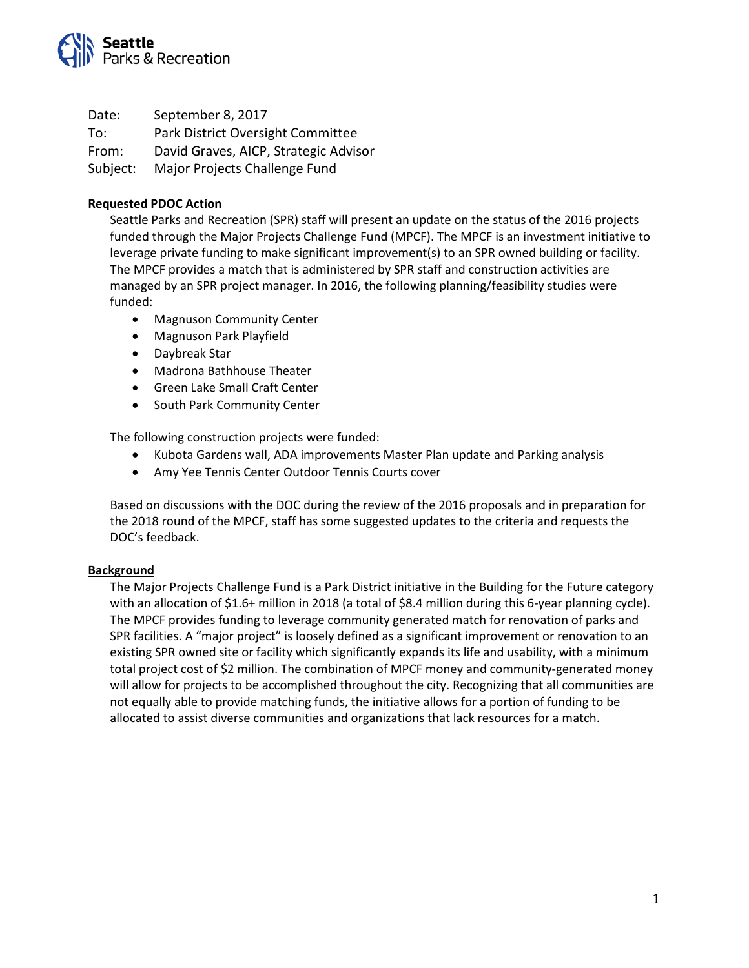

Date: September 8, 2017

To: Park District Oversight Committee

From: David Graves, AICP, Strategic Advisor

Subject: Major Projects Challenge Fund

### **Requested PDOC Action**

Seattle Parks and Recreation (SPR) staff will present an update on the status of the 2016 projects funded through the Major Projects Challenge Fund (MPCF). The MPCF is an investment initiative to leverage private funding to make significant improvement(s) to an SPR owned building or facility. The MPCF provides a match that is administered by SPR staff and construction activities are managed by an SPR project manager. In 2016, the following planning/feasibility studies were funded:

- Magnuson Community Center
- Magnuson Park Playfield
- Daybreak Star
- Madrona Bathhouse Theater
- Green Lake Small Craft Center
- South Park Community Center

The following construction projects were funded:

- Kubota Gardens wall, ADA improvements Master Plan update and Parking analysis
- Amy Yee Tennis Center Outdoor Tennis Courts cover

Based on discussions with the DOC during the review of the 2016 proposals and in preparation for the 2018 round of the MPCF, staff has some suggested updates to the criteria and requests the DOC's feedback.

#### **Background**

The Major Projects Challenge Fund is a Park District initiative in the Building for the Future category with an allocation of \$1.6+ million in 2018 (a total of \$8.4 million during this 6-year planning cycle). The MPCF provides funding to leverage community generated match for renovation of parks and SPR facilities. A "major project" is loosely defined as a significant improvement or renovation to an existing SPR owned site or facility which significantly expands its life and usability, with a minimum total project cost of \$2 million. The combination of MPCF money and community-generated money will allow for projects to be accomplished throughout the city. Recognizing that all communities are not equally able to provide matching funds, the initiative allows for a portion of funding to be allocated to assist diverse communities and organizations that lack resources for a match.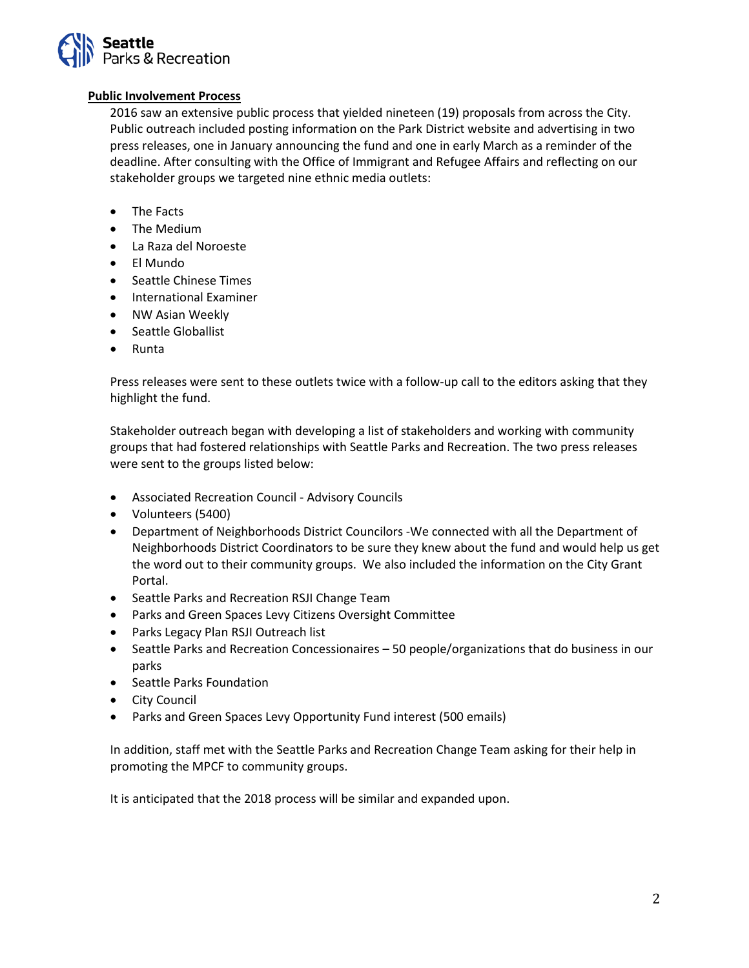

## **Public Involvement Process**

2016 saw an extensive public process that yielded nineteen (19) proposals from across the City. Public outreach included posting information on the Park District website and advertising in two press releases, one in January announcing the fund and one in early March as a reminder of the deadline. After consulting with the Office of Immigrant and Refugee Affairs and reflecting on our stakeholder groups we targeted nine ethnic media outlets:

- The Facts
- The Medium
- La Raza del Noroeste
- El Mundo
- Seattle Chinese Times
- International Examiner
- NW Asian Weekly
- Seattle Globallist
- Runta

Press releases were sent to these outlets twice with a follow-up call to the editors asking that they highlight the fund.

Stakeholder outreach began with developing a list of stakeholders and working with community groups that had fostered relationships with Seattle Parks and Recreation. The two press releases were sent to the groups listed below:

- Associated Recreation Council Advisory Councils
- Volunteers (5400)
- Department of Neighborhoods District Councilors -We connected with all the Department of Neighborhoods District Coordinators to be sure they knew about the fund and would help us get the word out to their community groups. We also included the information on the City Grant Portal.
- Seattle Parks and Recreation RSJI Change Team
- Parks and Green Spaces Levy Citizens Oversight Committee
- Parks Legacy Plan RSJI Outreach list
- Seattle Parks and Recreation Concessionaires 50 people/organizations that do business in our parks
- Seattle Parks Foundation
- City Council
- Parks and Green Spaces Levy Opportunity Fund interest (500 emails)

In addition, staff met with the Seattle Parks and Recreation Change Team asking for their help in promoting the MPCF to community groups.

It is anticipated that the 2018 process will be similar and expanded upon.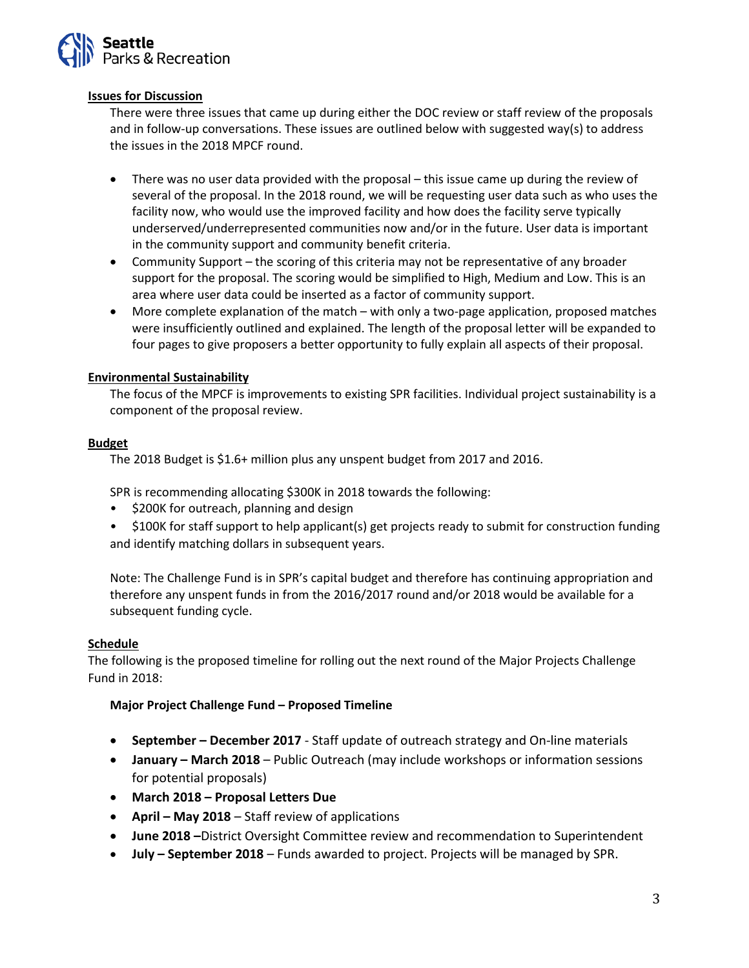

## **Issues for Discussion**

There were three issues that came up during either the DOC review or staff review of the proposals and in follow-up conversations. These issues are outlined below with suggested way(s) to address the issues in the 2018 MPCF round.

- There was no user data provided with the proposal this issue came up during the review of several of the proposal. In the 2018 round, we will be requesting user data such as who uses the facility now, who would use the improved facility and how does the facility serve typically underserved/underrepresented communities now and/or in the future. User data is important in the community support and community benefit criteria.
- Community Support the scoring of this criteria may not be representative of any broader support for the proposal. The scoring would be simplified to High, Medium and Low. This is an area where user data could be inserted as a factor of community support.
- More complete explanation of the match with only a two-page application, proposed matches were insufficiently outlined and explained. The length of the proposal letter will be expanded to four pages to give proposers a better opportunity to fully explain all aspects of their proposal.

## **Environmental Sustainability**

The focus of the MPCF is improvements to existing SPR facilities. Individual project sustainability is a component of the proposal review.

### **Budget**

The 2018 Budget is \$1.6+ million plus any unspent budget from 2017 and 2016.

SPR is recommending allocating \$300K in 2018 towards the following:

- \$200K for outreach, planning and design
- \$100K for staff support to help applicant(s) get projects ready to submit for construction funding and identify matching dollars in subsequent years.

Note: The Challenge Fund is in SPR's capital budget and therefore has continuing appropriation and therefore any unspent funds in from the 2016/2017 round and/or 2018 would be available for a subsequent funding cycle.

#### **Schedule**

The following is the proposed timeline for rolling out the next round of the Major Projects Challenge Fund in 2018:

## **Major Project Challenge Fund – Proposed Timeline**

- **September – December 2017** Staff update of outreach strategy and On-line materials
- **January – March 2018** Public Outreach (may include workshops or information sessions for potential proposals)
- **March 2018 – Proposal Letters Due**
- **April – May 2018** Staff review of applications
- **June 2018 –**District Oversight Committee review and recommendation to Superintendent
- **July – September 2018** Funds awarded to project. Projects will be managed by SPR.